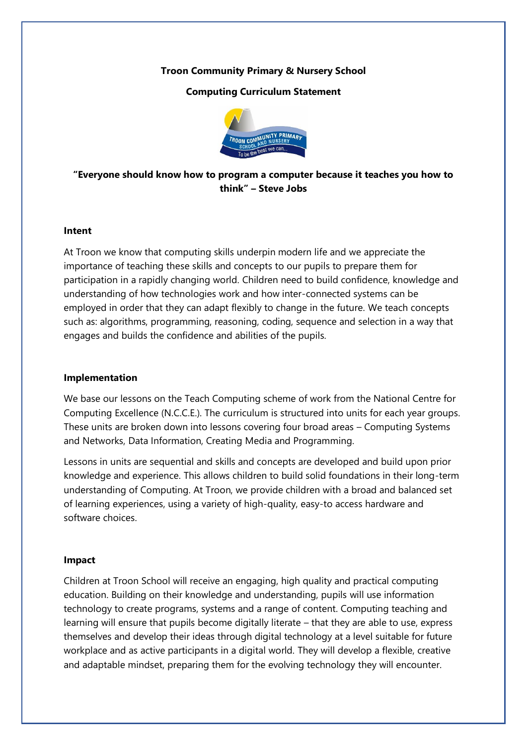## **Troon Community Primary & Nursery School**

## **Computing Curriculum Statement**



# **"Everyone should know how to program a computer because it teaches you how to think" – Steve Jobs**

#### **Intent**

At Troon we know that computing skills underpin modern life and we appreciate the importance of teaching these skills and concepts to our pupils to prepare them for participation in a rapidly changing world. Children need to build confidence, knowledge and understanding of how technologies work and how inter-connected systems can be employed in order that they can adapt flexibly to change in the future. We teach concepts such as: algorithms, programming, reasoning, coding, sequence and selection in a way that engages and builds the confidence and abilities of the pupils.

### **Implementation**

We base our lessons on the Teach Computing scheme of work from the National Centre for Computing Excellence (N.C.C.E.). The curriculum is structured into units for each year groups. These units are broken down into lessons covering four broad areas – Computing Systems and Networks, Data Information, Creating Media and Programming.

Lessons in units are sequential and skills and concepts are developed and build upon prior knowledge and experience. This allows children to build solid foundations in their long-term understanding of Computing. At Troon, we provide children with a broad and balanced set of learning experiences, using a variety of high-quality, easy-to access hardware and software choices.

#### **Impact**

Children at Troon School will receive an engaging, high quality and practical computing education. Building on their knowledge and understanding, pupils will use information technology to create programs, systems and a range of content. Computing teaching and learning will ensure that pupils become digitally literate – that they are able to use, express themselves and develop their ideas through digital technology at a level suitable for future workplace and as active participants in a digital world. They will develop a flexible, creative and adaptable mindset, preparing them for the evolving technology they will encounter.